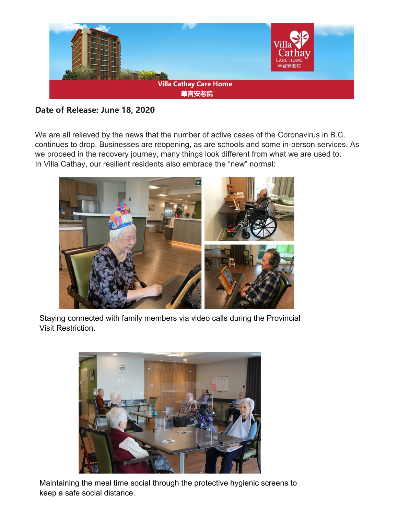

## **Date of Release: June 18, 2020**

We are all relieved by the news that the number of active cases of the Coronavirus in B.C. continues to drop. Businesses are reopening, as are schools and some in-person services. As we proceed in the recovery journey, many things look different from what we are used to. In Villa Cathay, our resilient residents also embrace the "new" normal:



Staying connected with family members via video calls during the Provincial Visit Restriction.



Maintaining the meal time social through the protective hygienic screens to keep a safe social distance.